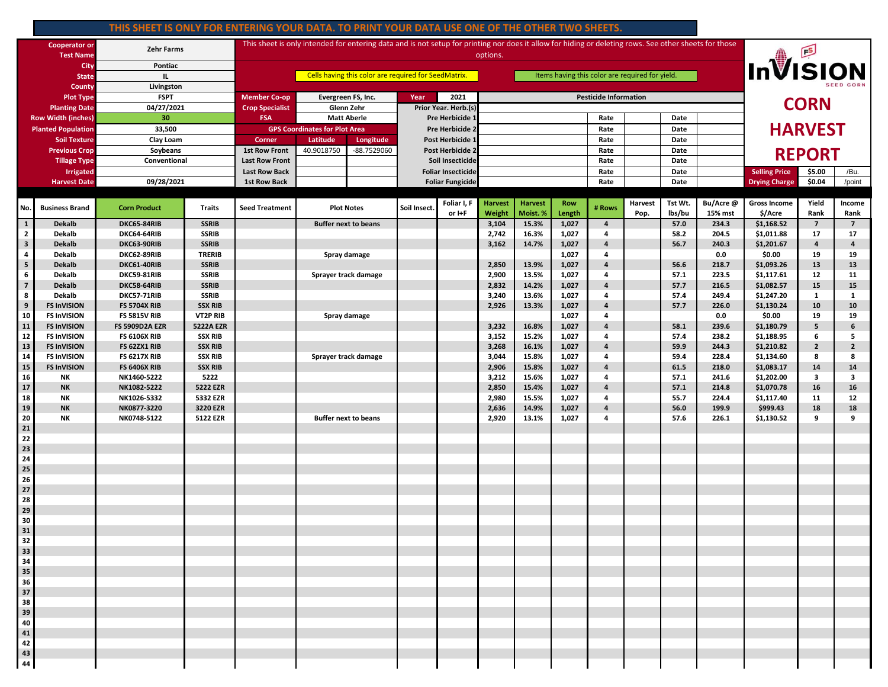## **THIS SHEET IS ONLY FOR ENTERING YOUR DATA. TO PRINT YOUR DATA USE ONE OF THE OTHER TWO SHEETS.**

| <b>Cooperator or</b><br><b>Test Name</b> |                                | <b>Zehr Farms</b>          |                              | This sheet is only intended for entering data and is not setup for printing nor does it allow for hiding or deleting rows. See other sheets for those<br>options. |                                  |                  |                         |                           |                          |                              |                      |                     |                 |                   |                      | <b>InVISION</b>                |                |                         |  |
|------------------------------------------|--------------------------------|----------------------------|------------------------------|-------------------------------------------------------------------------------------------------------------------------------------------------------------------|----------------------------------|------------------|-------------------------|---------------------------|--------------------------|------------------------------|----------------------|---------------------|-----------------|-------------------|----------------------|--------------------------------|----------------|-------------------------|--|
| City                                     |                                | Pontiac                    |                              | Items having this color are required for yield.<br>Cells having this color are required for SeedMatrix.                                                           |                                  |                  |                         |                           |                          |                              |                      |                     |                 |                   |                      |                                |                |                         |  |
| <b>State</b>                             |                                | <b>IL</b>                  |                              |                                                                                                                                                                   |                                  |                  |                         |                           |                          |                              |                      |                     |                 |                   |                      |                                |                |                         |  |
| <b>County</b>                            |                                | Livingston<br><b>FSPT</b>  |                              | <b>Member Co-op</b>                                                                                                                                               |                                  |                  | Year                    | 2021                      |                          |                              |                      |                     |                 |                   |                      |                                |                |                         |  |
| <b>Plot Type</b><br><b>Planting Date</b> |                                | 04/27/2021                 |                              | <b>Crop Specialist</b>                                                                                                                                            | Evergreen FS, Inc.<br>Glenn Zehr |                  |                         | Prior Year. Herb.(s)      |                          | <b>Pesticide Information</b> |                      |                     |                 |                   |                      |                                | <b>CORN</b>    |                         |  |
| <b>Row Width (inches)</b>                |                                | 30                         |                              | <b>FSA</b>                                                                                                                                                        | <b>Matt Aberle</b>               |                  | Pre Herbicide 1         |                           |                          |                              |                      | Rate<br>Date        |                 |                   |                      |                                |                |                         |  |
| <b>Planted Population</b>                |                                | 33,500                     |                              | <b>GPS Coordinates for Plot Area</b>                                                                                                                              |                                  | Pre Herbicide 2  |                         |                           |                          |                              | Rate                 |                     | Date            |                   |                      |                                | <b>HARVEST</b> |                         |  |
| <b>Soil Texture</b>                      |                                | Clay Loam                  |                              | Latitude<br>Corner<br>Longitude                                                                                                                                   |                                  | Post Herbicide 1 |                         |                           |                          | Rate                         |                      | Date                |                 |                   |                      |                                |                |                         |  |
| <b>Previous Crop</b>                     |                                | Soybeans                   |                              | <b>1st Row Front</b>                                                                                                                                              | 40.9018750                       | -88.7529060      |                         | Post Herbicide 2          |                          |                              |                      | Rate                |                 | Date              |                      |                                |                |                         |  |
| <b>Tillage Type</b>                      |                                | Conventional               |                              | <b>Last Row Front</b>                                                                                                                                             |                                  |                  |                         | Soil Insecticide          |                          |                              |                      | Rate                |                 | Date              |                      |                                | <b>REPORT</b>  |                         |  |
| Irrigated                                |                                |                            |                              | <b>Last Row Back</b>                                                                                                                                              |                                  |                  |                         | <b>Foliar Insecticide</b> |                          |                              | Rate                 |                     | Date            |                   | <b>Selling Price</b> | \$5.00                         | /Bu.           |                         |  |
| <b>Harvest Date</b>                      |                                | 09/28/2021                 |                              | <b>1st Row Back</b>                                                                                                                                               |                                  |                  | <b>Foliar Fungicide</b> |                           |                          |                              | Rate                 |                     | Date            |                   | <b>Drying Charge</b> | \$0.04                         | /point         |                         |  |
|                                          |                                |                            |                              |                                                                                                                                                                   |                                  |                  |                         |                           |                          |                              |                      |                     |                 |                   |                      |                                |                |                         |  |
| No.                                      | <b>Business Brand</b>          | <b>Corn Product</b>        | <b>Traits</b>                | <b>Seed Treatment</b>                                                                                                                                             | <b>Plot Notes</b>                |                  | Soil Insect.            | Foliar I, F<br>or I+F     | <b>Harvest</b><br>Weight | <b>Harvest</b><br>Moist. %   | <b>Row</b><br>Length | # Rows              | Harvest<br>Pop. | Tst Wt.<br>lbs/bu | Bu/Acre@<br>15% mst  | <b>Gross Income</b><br>\$/Acre | Yield<br>Rank  | Income<br>Rank          |  |
| $\mathbf{1}$                             | <b>Dekalb</b>                  | DKC65-84RIB                | <b>SSRIB</b>                 |                                                                                                                                                                   | <b>Buffer next to beans</b>      |                  |                         |                           | 3,104                    | 15.3%                        | 1,027                | $\overline{a}$      |                 | 57.0              | 234.3                | \$1,168.52                     | $\overline{7}$ | $\overline{7}$          |  |
| $\overline{2}$                           | Dekalb                         | DKC64-64RIB                | <b>SSRIB</b>                 |                                                                                                                                                                   |                                  |                  |                         |                           | 2,742                    | 16.3%                        | 1,027                | 4                   |                 | 58.2              | 204.5                | \$1,011.88                     | 17             | 17                      |  |
| $\overline{\mathbf{3}}$                  | <b>Dekalb</b>                  | DKC63-90RIB                | <b>SSRIB</b>                 |                                                                                                                                                                   |                                  |                  |                         |                           | 3,162                    | 14.7%                        | 1,027                | 4                   |                 | 56.7              | 240.3                | \$1,201.67                     | 4              | $\overline{\mathbf{4}}$ |  |
| 4                                        | Dekalb                         | DKC62-89RIB                | <b>TRERIB</b>                |                                                                                                                                                                   | Spray damage                     |                  |                         |                           |                          |                              | 1,027                | 4                   |                 |                   | 0.0                  | \$0.00                         | 19             | 19                      |  |
| ${\bf 5}$<br>6                           | <b>Dekalb</b><br><b>Dekalb</b> | DKC61-40RIB<br>DKC59-81RIB | <b>SSRIB</b><br><b>SSRIB</b> |                                                                                                                                                                   | Sprayer track damage             |                  |                         |                           | 2,850<br>2,900           | 13.9%<br>13.5%               | 1,027<br>1,027       | 4<br>4              |                 | 56.6<br>57.1      | 218.7<br>223.5       | \$1,093.26<br>\$1,117.61       | 13<br>12       | 13<br>11                |  |
| $\overline{7}$                           | <b>Dekalb</b>                  | DKC58-64RIB                | <b>SSRIB</b>                 |                                                                                                                                                                   |                                  |                  |                         |                           | 2,832                    | 14.2%                        | 1,027                | 4                   |                 | 57.7              | 216.5                | \$1,082.57                     | 15             | 15                      |  |
| 8                                        | Dekalb                         | DKC57-71RIB                | <b>SSRIB</b>                 |                                                                                                                                                                   |                                  |                  |                         |                           | 3,240                    | 13.6%                        | 1,027                | 4                   |                 | 57.4              | 249.4                | \$1,247.20                     | 1              | 1                       |  |
| $\boldsymbol{9}$                         | <b>FS InVISION</b>             | <b>FS 5704X RIB</b>        | <b>SSX RIB</b>               |                                                                                                                                                                   |                                  |                  |                         |                           | 2,926                    | 13.3%                        | 1,027                | 4                   |                 | 57.7              | 226.0                | \$1,130.24                     | 10             | 10                      |  |
| 10                                       | <b>FS InVISION</b>             | <b>FS 5815V RIB</b>        | VT2P RIB                     |                                                                                                                                                                   | Spray damage                     |                  |                         |                           |                          |                              | 1,027                | 4                   |                 |                   | 0.0                  | \$0.00                         | 19             | 19                      |  |
| 11                                       | <b>FS InVISION</b>             | FS 5909D2A EZR             | <b>5222A EZR</b>             |                                                                                                                                                                   |                                  |                  |                         |                           | 3,232                    | 16.8%                        | 1,027                | 4                   |                 | 58.1              | 239.6                | \$1,180.79                     | 5              | 6                       |  |
| ${\bf 12}$                               | <b>FS InVISION</b>             | <b>FS 6106X RIB</b>        | <b>SSX RIB</b>               |                                                                                                                                                                   |                                  |                  |                         |                           | 3,152                    | 15.2%                        | 1,027                | 4                   |                 | 57.4              | 238.2                | \$1,188.95                     | 6              | 5                       |  |
| 13                                       | <b>FS InVISION</b>             | FS 62ZX1 RIB               | <b>SSX RIB</b>               |                                                                                                                                                                   |                                  |                  |                         |                           | 3,268                    | 16.1%                        | 1,027                | $\overline{a}$      |                 | 59.9              | 244.3                | \$1,210.82                     | $\mathbf{2}$   | $\overline{2}$          |  |
| 14                                       | <b>FS InVISION</b>             | <b>FS 6217X RIB</b>        | <b>SSX RIB</b>               |                                                                                                                                                                   | Sprayer track damage             |                  |                         |                           | 3,044                    | 15.8%                        | 1,027                | 4                   |                 | 59.4              | 228.4                | \$1,134.60                     | 8              | 8                       |  |
| 15                                       | <b>FS InVISION</b>             | <b>FS 6406X RIB</b>        | <b>SSX RIB</b>               |                                                                                                                                                                   |                                  |                  |                         |                           | 2,906                    | 15.8%                        | 1,027                | 4                   |                 | 61.5              | 218.0                | \$1,083.17                     | 14             | 14                      |  |
| 16<br>17                                 | NΚ<br><b>NK</b>                | NK1460-5222<br>NK1082-5222 | 5222<br><b>5222 EZR</b>      |                                                                                                                                                                   |                                  |                  |                         |                           | 3,212                    | 15.6%<br>15.4%               | 1,027                | 4<br>$\overline{a}$ |                 | 57.1              | 241.6<br>214.8       | \$1,202.00<br>\$1,070.78       | 3<br>16        | 3<br>16                 |  |
| 18                                       | NΚ                             | NK1026-5332                | 5332 EZR                     |                                                                                                                                                                   |                                  |                  |                         |                           | 2,850<br>2,980           | 15.5%                        | 1,027<br>1,027       | 4                   |                 | 57.1<br>55.7      | 224.4                | \$1,117.40                     | 11             | 12                      |  |
| 19                                       | <b>NK</b>                      | NK0877-3220                | 3220 EZR                     |                                                                                                                                                                   |                                  |                  |                         |                           | 2,636                    | 14.9%                        | 1,027                | $\overline{a}$      |                 | 56.0              | 199.9                | \$999.43                       | 18             | 18                      |  |
| 20                                       | NΚ                             | NK0748-5122                | 5122 EZR                     |                                                                                                                                                                   | <b>Buffer next to beans</b>      |                  |                         |                           | 2,920                    | 13.1%                        | 1,027                | 4                   |                 | 57.6              | 226.1                | \$1,130.52                     | 9              | 9                       |  |
| 21                                       |                                |                            |                              |                                                                                                                                                                   |                                  |                  |                         |                           |                          |                              |                      |                     |                 |                   |                      |                                |                |                         |  |
| 22                                       |                                |                            |                              |                                                                                                                                                                   |                                  |                  |                         |                           |                          |                              |                      |                     |                 |                   |                      |                                |                |                         |  |
| 23                                       |                                |                            |                              |                                                                                                                                                                   |                                  |                  |                         |                           |                          |                              |                      |                     |                 |                   |                      |                                |                |                         |  |
| 24                                       |                                |                            |                              |                                                                                                                                                                   |                                  |                  |                         |                           |                          |                              |                      |                     |                 |                   |                      |                                |                |                         |  |
| 25                                       |                                |                            |                              |                                                                                                                                                                   |                                  |                  |                         |                           |                          |                              |                      |                     |                 |                   |                      |                                |                |                         |  |
| 26<br>27                                 |                                |                            |                              |                                                                                                                                                                   |                                  |                  |                         |                           |                          |                              |                      |                     |                 |                   |                      |                                |                |                         |  |
| 28                                       |                                |                            |                              |                                                                                                                                                                   |                                  |                  |                         |                           |                          |                              |                      |                     |                 |                   |                      |                                |                |                         |  |
| 29                                       |                                |                            |                              |                                                                                                                                                                   |                                  |                  |                         |                           |                          |                              |                      |                     |                 |                   |                      |                                |                |                         |  |
| 30                                       |                                |                            |                              |                                                                                                                                                                   |                                  |                  |                         |                           |                          |                              |                      |                     |                 |                   |                      |                                |                |                         |  |
| 31                                       |                                |                            |                              |                                                                                                                                                                   |                                  |                  |                         |                           |                          |                              |                      |                     |                 |                   |                      |                                |                |                         |  |
| 32                                       |                                |                            |                              |                                                                                                                                                                   |                                  |                  |                         |                           |                          |                              |                      |                     |                 |                   |                      |                                |                |                         |  |
| 33                                       |                                |                            |                              |                                                                                                                                                                   |                                  |                  |                         |                           |                          |                              |                      |                     |                 |                   |                      |                                |                |                         |  |
| 34                                       |                                |                            |                              |                                                                                                                                                                   |                                  |                  |                         |                           |                          |                              |                      |                     |                 |                   |                      |                                |                |                         |  |
| 35                                       |                                |                            |                              |                                                                                                                                                                   |                                  |                  |                         |                           |                          |                              |                      |                     |                 |                   |                      |                                |                |                         |  |
| 36<br>$\bf 37$                           |                                |                            |                              |                                                                                                                                                                   |                                  |                  |                         |                           |                          |                              |                      |                     |                 |                   |                      |                                |                |                         |  |
| 38                                       |                                |                            |                              |                                                                                                                                                                   |                                  |                  |                         |                           |                          |                              |                      |                     |                 |                   |                      |                                |                |                         |  |
| 39                                       |                                |                            |                              |                                                                                                                                                                   |                                  |                  |                         |                           |                          |                              |                      |                     |                 |                   |                      |                                |                |                         |  |
| 40                                       |                                |                            |                              |                                                                                                                                                                   |                                  |                  |                         |                           |                          |                              |                      |                     |                 |                   |                      |                                |                |                         |  |
| 41                                       |                                |                            |                              |                                                                                                                                                                   |                                  |                  |                         |                           |                          |                              |                      |                     |                 |                   |                      |                                |                |                         |  |
| 42                                       |                                |                            |                              |                                                                                                                                                                   |                                  |                  |                         |                           |                          |                              |                      |                     |                 |                   |                      |                                |                |                         |  |
| 43                                       |                                |                            |                              |                                                                                                                                                                   |                                  |                  |                         |                           |                          |                              |                      |                     |                 |                   |                      |                                |                |                         |  |
| 44                                       |                                |                            |                              |                                                                                                                                                                   |                                  |                  |                         |                           |                          |                              |                      |                     |                 |                   |                      |                                |                |                         |  |